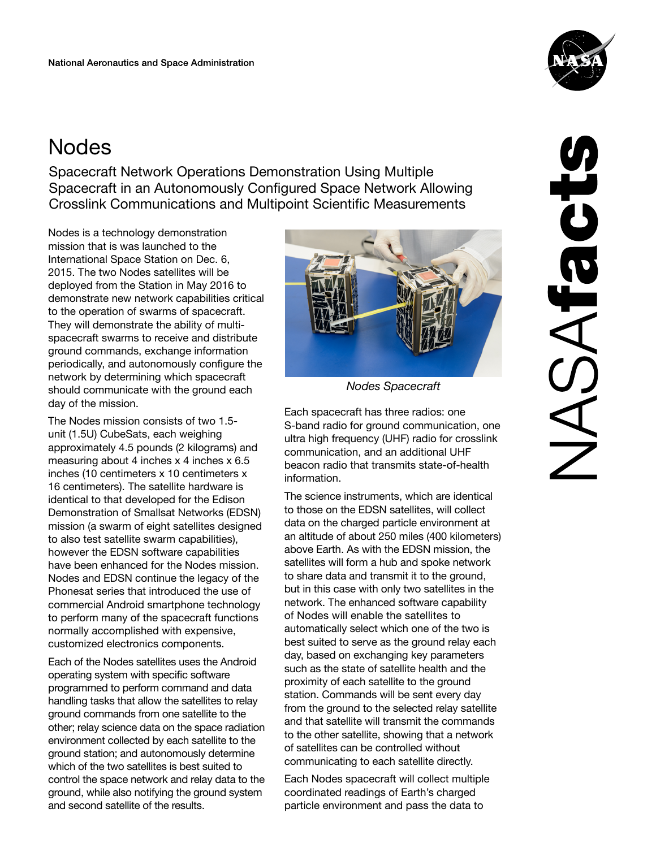## **Nodes**

Spacecraft Network Operations Demonstration Using Multiple Spacecraft in an Autonomously Configured Space Network Allowing Crosslink Communications and Multipoint Scientific Measurements

Nodes is a technology demonstration mission that is was launched to the International Space Station on Dec. 6, 2015. The two Nodes satellites will be deployed from the Station in May 2016 to demonstrate new network capabilities critical to the operation of swarms of spacecraft. They will demonstrate the ability of multispacecraft swarms to receive and distribute ground commands, exchange information periodically, and autonomously configure the network by determining which spacecraft should communicate with the ground each day of the mission.

The Nodes mission consists of two 1.5 unit (1.5U) CubeSats, each weighing approximately 4.5 pounds (2 kilograms) and measuring about 4 inches x 4 inches x 6.5 inches (10 centimeters x 10 centimeters x 16 centimeters). The satellite hardware is identical to that developed for the Edison Demonstration of Smallsat Networks (EDSN) mission (a swarm of eight satellites designed to also test satellite swarm capabilities), however the EDSN software capabilities have been enhanced for the Nodes mission. Nodes and EDSN continue the legacy of the Phonesat series that introduced the use of commercial Android smartphone technology to perform many of the spacecraft functions normally accomplished with expensive, customized electronics components.

Each of the Nodes satellites uses the Android operating system with specific software programmed to perform command and data handling tasks that allow the satellites to relay ground commands from one satellite to the other; relay science data on the space radiation environment collected by each satellite to the ground station; and autonomously determine which of the two satellites is best suited to control the space network and relay data to the ground, while also notifying the ground system and second satellite of the results.



*Nodes Spacecraft*

Each spacecraft has three radios: one S-band radio for ground communication, one ultra high frequency (UHF) radio for crosslink communication, and an additional UHF beacon radio that transmits state-of-health information.

The science instruments, which are identical to those on the EDSN satellites, will collect data on the charged particle environment at an altitude of about 250 miles (400 kilometers) above Earth. As with the EDSN mission, the satellites will form a hub and spoke network to share data and transmit it to the ground, but in this case with only two satellites in the network. The enhanced software capability of Nodes will enable the satellites to automatically select which one of the two is best suited to serve as the ground relay each day, based on exchanging key parameters such as the state of satellite health and the proximity of each satellite to the ground station. Commands will be sent every day from the ground to the selected relay satellite and that satellite will transmit the commands to the other satellite, showing that a network of satellites can be controlled without communicating to each satellite directly.

Each Nodes spacecraft will collect multiple coordinated readings of Earth's charged particle environment and pass the data to